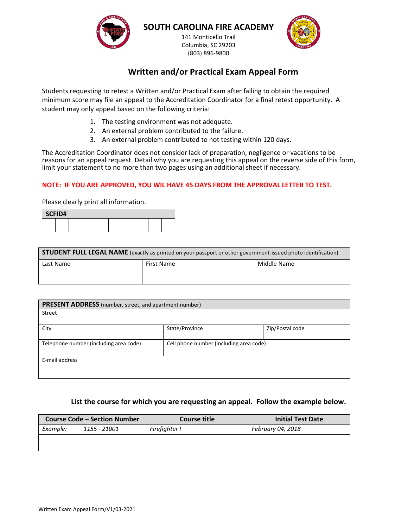

**SOUTH CAROLINA FIRE ACADEMY**

141 Monticello Trail Columbia, SC 29203 (803) 896-9800



## **Written and/or Practical Exam Appeal Form**

Students requesting to retest a Written and/or Practical Exam after failing to obtain the required minimum score may file an appeal to the Accreditation Coordinator for a final retest opportunity. A student may only appeal based on the following criteria:

- 1. The testing environment was not adequate.
- 2. An external problem contributed to the failure.
- 3. An external problem contributed to not testing within 120 days.

The Accreditation Coordinator does not consider lack of preparation, negligence or vacations to be reasons for an appeal request. Detail why you are requesting this appeal on the reverse side of this form, limit your statement to no more than two pages using an additional sheet if necessary.

## **NOTE: IF YOU ARE APPROVED, YOU WIL HAVE 45 DAYS FROM THE APPROVAL LETTER TO TEST.**

Please clearly print all information.

| SCFID# |  |  |  |  |  |  |  |  |
|--------|--|--|--|--|--|--|--|--|
|        |  |  |  |  |  |  |  |  |

| STUDENT FULL LEGAL NAME (exactly as printed on your passport or other government-issued photo identification) |            |             |  |  |
|---------------------------------------------------------------------------------------------------------------|------------|-------------|--|--|
| Last Name                                                                                                     | First Name | Middle Name |  |  |
|                                                                                                               |            |             |  |  |

| <b>PRESENT ADDRESS</b> (number, street, and apartment number) |                                         |                 |  |
|---------------------------------------------------------------|-----------------------------------------|-----------------|--|
| Street                                                        |                                         |                 |  |
| City                                                          | State/Province                          | Zip/Postal code |  |
|                                                               |                                         |                 |  |
| Telephone number (including area code)                        | Cell phone number (including area code) |                 |  |
|                                                               |                                         |                 |  |
| E-mail address                                                |                                         |                 |  |
|                                                               |                                         |                 |  |
|                                                               |                                         |                 |  |

## **List the course for which you are requesting an appeal. Follow the example below.**

| <b>Course Code - Section Number</b> |              | <b>Course title</b> | <b>Initial Test Date</b> |  |
|-------------------------------------|--------------|---------------------|--------------------------|--|
| Example:                            | 1155 - 21001 | Firefighter I       | February 04, 2018        |  |
|                                     |              |                     |                          |  |